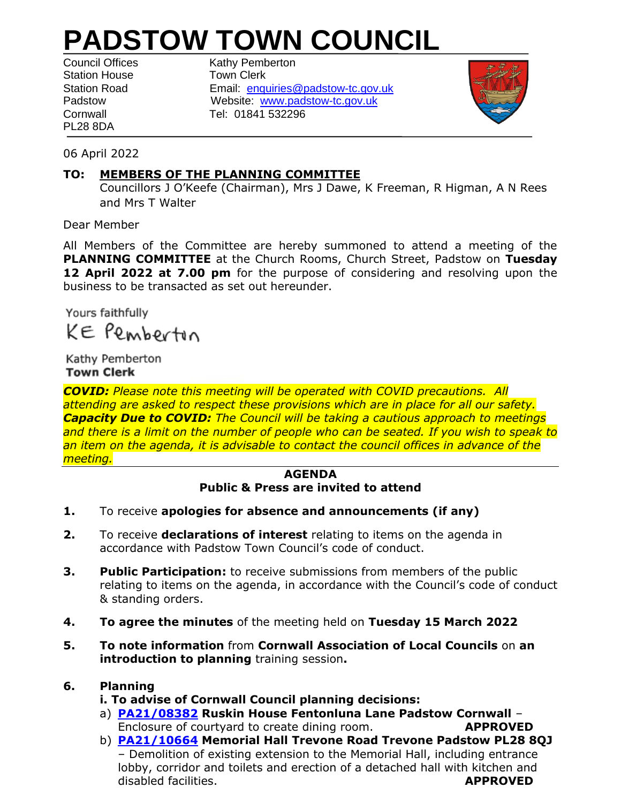## **PADSTOW TOWN COUNCIL**

Station House **Town Clerk** PL28 8DA

Council Offices Kathy Pemberton Station Road Email: [enquiries@padstow-tc.gov.uk](mailto:theclerk@padstow-tc.gov.uk) Padstow Website: [www.padstow-tc.gov.uk](http://www.padstow-tc.gov.uk/) Cornwall Tel: 01841 532296



06 April 2022

## **TO: MEMBERS OF THE PLANNING COMMITTEE**

Councillors J O'Keefe (Chairman), Mrs J Dawe, K Freeman, R Higman, A N Rees and Mrs T Walter

Dear Member

All Members of the Committee are hereby summoned to attend a meeting of the **PLANNING COMMITTEE** at the Church Rooms, Church Street, Padstow on **Tuesday 12 April 2022 at 7.00 pm** for the purpose of considering and resolving upon the business to be transacted as set out hereunder.

Yours faithfully

KE Pembertin

Kathy Pemberton **Town Clerk**

*COVID: Please note this meeting will be operated with COVID precautions. All attending are asked to respect these provisions which are in place for all our safety. Capacity Due to COVID: The Council will be taking a cautious approach to meetings and there is a limit on the number of people who can be seated. If you wish to speak to an item on the agenda, it is advisable to contact the council offices in advance of the meeting.* 

## **AGENDA Public & Press are invited to attend**

- **1.** To receive **apologies for absence and announcements (if any)**
- **2.** To receive **declarations of interest** relating to items on the agenda in accordance with Padstow Town Council's code of conduct.
- **3. Public Participation:** to receive submissions from members of the public relating to items on the agenda, in accordance with the Council's code of conduct & standing orders.
- **4. To agree the minutes** of the meeting held on **Tuesday 15 March 2022**
- **5. To note information** from **Cornwall Association of Local Councils** on **an introduction to planning** training session**.**

## **6. Planning**

- **i. To advise of Cornwall Council planning decisions:**
- a) **[PA21/08382](https://planning.cornwall.gov.uk/online-applications/applicationDetails.do?activeTab=documents&keyVal=QXZA4MFG1PK00) Ruskin House Fentonluna Lane Padstow Cornwall** Enclosure of courtyard to create dining room. **APPROVED**
- b) **[PA21/10664](https://planning.cornwall.gov.uk/online-applications/applicationDetails.do?activeTab=documents&keyVal=R1JHXZFGKY100) Memorial Hall Trevone Road Trevone Padstow PL28 8QJ** – Demolition of existing extension to the Memorial Hall, including entrance lobby, corridor and toilets and erection of a detached hall with kitchen and disabled facilities. **APPROVED**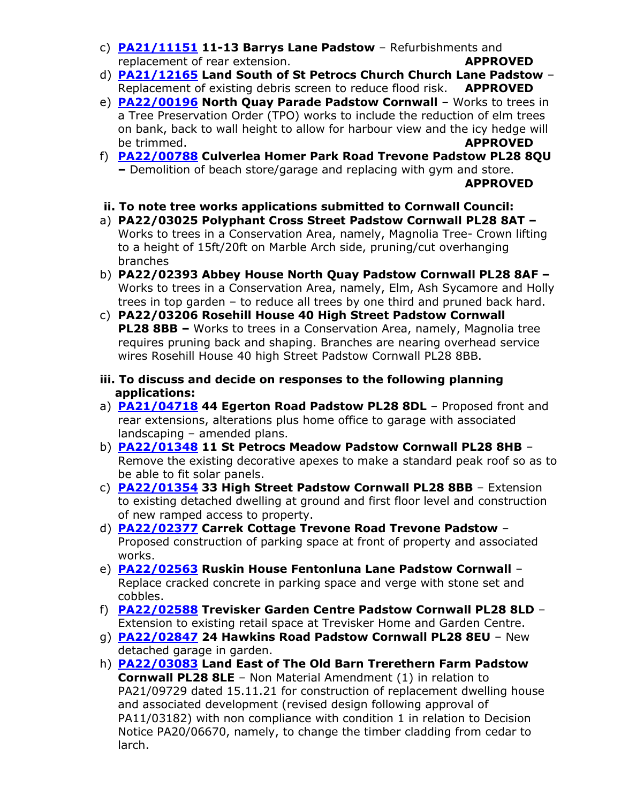- c) **[PA21/11151](https://planning.cornwall.gov.uk/online-applications/applicationDetails.do?activeTab=documents&keyVal=R2AYQFFGM6F00) 11-13 Barrys Lane Padstow** Refurbishments and replacement of rear extension. **APPROVED**
- d) **[PA21/12165](https://planning.cornwall.gov.uk/online-applications/applicationDetails.do?activeTab=documents&keyVal=R3SCUKFGILG00) Land South of St Petrocs Church Church Lane Padstow** Replacement of existing debris screen to reduce flood risk. **APPROVED**
- e) **[PA22/00196](https://planning.cornwall.gov.uk/online-applications/applicationDetails.do?activeTab=documents&keyVal=R5I4KPFG1WC00) North Quay Parade Padstow Cornwall** Works to trees in a Tree Preservation Order (TPO) works to include the reduction of elm trees on bank, back to wall height to allow for harbour view and the icy hedge will be trimmed. **APPROVED**
- f) **[PA22/00788](https://planning.cornwall.gov.uk/online-applications/applicationDetails.do?activeTab=documents&keyVal=R6DEYJFGLDM00) Culverlea Homer Park Road Trevone Padstow PL28 8QU –** Demolition of beach store/garage and replacing with gym and store. **APPROVED**
- **ii. To note tree works applications submitted to Cornwall Council:**
- a) **PA22/03025 Polyphant Cross Street Padstow Cornwall PL28 8AT –** Works to trees in a Conservation Area, namely, Magnolia Tree- Crown lifting to a height of 15ft/20ft on Marble Arch side, pruning/cut overhanging branches
- b) **PA22/02393 Abbey House North Quay Padstow Cornwall PL28 8AF –** Works to trees in a Conservation Area, namely, Elm, Ash Sycamore and Holly trees in top garden – to reduce all trees by one third and pruned back hard.
- c) **PA22/03206 Rosehill House 40 High Street Padstow Cornwall PL28 8BB –** Works to trees in a Conservation Area, namely, Magnolia tree requires pruning back and shaping. Branches are nearing overhead service wires Rosehill House 40 high Street Padstow Cornwall PL28 8BB.
- **iii. To discuss and decide on responses to the following planning applications:**
- a) **[PA21/04718](https://planning.cornwall.gov.uk/online-applications/applicationDetails.do?activeTab=documents&keyVal=QSL1I9FGN2300) 44 Egerton Road Padstow PL28 8DL** Proposed front and rear extensions, alterations plus home office to garage with associated landscaping – amended plans.
- b) **[PA22/01348](https://planning.cornwall.gov.uk/online-applications/applicationDetails.do?activeTab=documents&keyVal=R71Q1IFGMMH00) 11 St Petrocs Meadow Padstow Cornwall PL28 8HB** Remove the existing decorative apexes to make a standard peak roof so as to be able to fit solar panels.
- c) **[PA22/01354](https://planning.cornwall.gov.uk/online-applications/applicationDetails.do?activeTab=documents&keyVal=R71STNFGMOH00) 33 High Street Padstow Cornwall PL28 8BB** Extension to existing detached dwelling at ground and first floor level and construction of new ramped access to property.
- d) **[PA22/02377](https://planning.cornwall.gov.uk/online-applications/applicationDetails.do?activeTab=documents&keyVal=R8FN8WFGG7400) Carrek Cottage Trevone Road Trevone Padstow** Proposed construction of parking space at front of property and associated works.
- e) **[PA22/02563](https://planning.cornwall.gov.uk/online-applications/applicationDetails.do?activeTab=documents&keyVal=R8QFOMFG1ZA00) Ruskin House Fentonluna Lane Padstow Cornwall** Replace cracked concrete in parking space and verge with stone set and cobbles.
- f) **[PA22/02588](https://planning.cornwall.gov.uk/online-applications/applicationDetails.do?activeTab=documents&keyVal=R8QU2KFGL7J00) Trevisker Garden Centre Padstow Cornwall PL28 8LD** Extension to existing retail space at Trevisker Home and Garden Centre.
- g) **[PA22/02847](https://planning.cornwall.gov.uk/online-applications/applicationDetails.do?activeTab=documents&keyVal=R956Q5FGKLP00) 24 Hawkins Road Padstow Cornwall PL28 8EU** New detached garage in garden.
- h) **[PA22/03083](https://planning.cornwall.gov.uk/online-applications/applicationDetails.do?activeTab=documents&keyVal=R9IAUQFGKN200) Land East of The Old Barn Trerethern Farm Padstow Cornwall PL28 8LE** – Non Material Amendment (1) in relation to PA21/09729 dated 15.11.21 for construction of replacement dwelling house and associated development (revised design following approval of PA11/03182) with non compliance with condition 1 in relation to Decision Notice PA20/06670, namely, to change the timber cladding from cedar to larch.